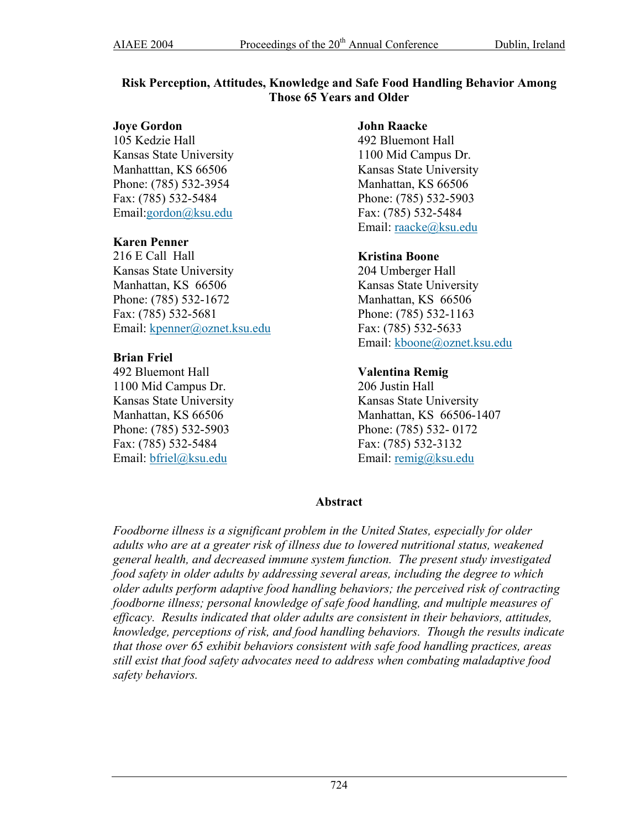### **Risk Perception, Attitudes, Knowledge and Safe Food Handling Behavior Among Those 65 Years and Older**

#### **Joye Gordon**

105 Kedzie Hall Kansas State University Manhatttan, KS 66506 Phone: (785) 532-3954 Fax: (785) 532-5484 Email:gordon@ksu.edu

#### **Karen Penner**

216 E Call Hall Kansas State University Manhattan, KS 66506 Phone: (785) 532-1672 Fax: (785) 532-5681 Email: [kpenner@oznet.ksu.edu](mailto:kpenner@oznet.ksu.edu)

### **Brian Friel**

492 Bluemont Hall 1100 Mid Campus Dr. Kansas State University Manhattan, KS 66506 Phone: (785) 532-5903 Fax: (785) 532-5484 Email: [bfriel@ksu.edu](mailto:bfriel@ksu.edu)

#### **John Raacke**

492 Bluemont Hall 1100 Mid Campus Dr. Kansas State University Manhattan, KS 66506 Phone: (785) 532-5903 Fax: (785) 532-5484 Email: [raacke@ksu.edu](mailto:raacke@ksu.edu)

### **Kristina Boone**

204 Umberger Hall Kansas State University Manhattan, KS 66506 Phone: (785) 532-1163 Fax: (785) 532-5633 Email: [kboone@oznet.ksu.edu](mailto:kboone@oznet.ksu.edu)

# **Valentina Remig**

206 Justin Hall Kansas State University Manhattan, KS 66506-1407 Phone: (785) 532- 0172 Fax: (785) 532-3132 Email: [remig@ksu.edu](mailto:remig@ksu.edu)

# **Abstract**

*Foodborne illness is a significant problem in the United States, especially for older adults who are at a greater risk of illness due to lowered nutritional status, weakened general health, and decreased immune system function. The present study investigated food safety in older adults by addressing several areas, including the degree to which older adults perform adaptive food handling behaviors; the perceived risk of contracting foodborne illness; personal knowledge of safe food handling, and multiple measures of efficacy. Results indicated that older adults are consistent in their behaviors, attitudes, knowledge, perceptions of risk, and food handling behaviors. Though the results indicate that those over 65 exhibit behaviors consistent with safe food handling practices, areas still exist that food safety advocates need to address when combating maladaptive food safety behaviors.*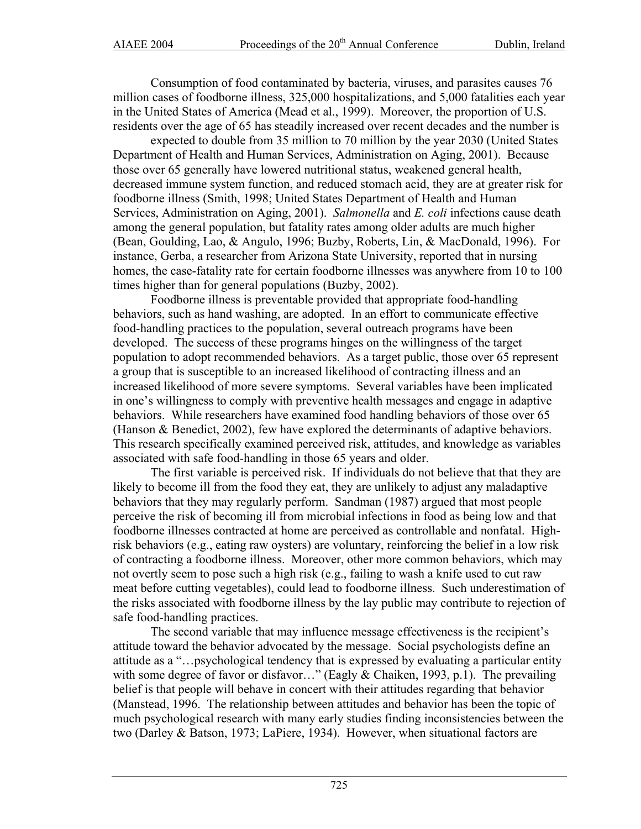Consumption of food contaminated by bacteria, viruses, and parasites causes 76 million cases of foodborne illness, 325,000 hospitalizations, and 5,000 fatalities each year in the United States of America (Mead et al., 1999). Moreover, the proportion of U.S. residents over the age of 65 has steadily increased over recent decades and the number is

expected to double from 35 million to 70 million by the year 2030 (United States Department of Health and Human Services, Administration on Aging, 2001). Because those over 65 generally have lowered nutritional status, weakened general health, decreased immune system function, and reduced stomach acid, they are at greater risk for foodborne illness (Smith, 1998; United States Department of Health and Human Services, Administration on Aging, 2001). *Salmonella* and *E. coli* infections cause death among the general population, but fatality rates among older adults are much higher (Bean, Goulding, Lao, & Angulo, 1996; Buzby, Roberts, Lin, & MacDonald, 1996). For instance, Gerba, a researcher from Arizona State University, reported that in nursing homes, the case-fatality rate for certain foodborne illnesses was anywhere from 10 to 100 times higher than for general populations (Buzby, 2002).

Foodborne illness is preventable provided that appropriate food-handling behaviors, such as hand washing, are adopted. In an effort to communicate effective food-handling practices to the population, several outreach programs have been developed. The success of these programs hinges on the willingness of the target population to adopt recommended behaviors. As a target public, those over 65 represent a group that is susceptible to an increased likelihood of contracting illness and an increased likelihood of more severe symptoms. Several variables have been implicated in one's willingness to comply with preventive health messages and engage in adaptive behaviors. While researchers have examined food handling behaviors of those over 65 (Hanson & Benedict, 2002), few have explored the determinants of adaptive behaviors. This research specifically examined perceived risk, attitudes, and knowledge as variables associated with safe food-handling in those 65 years and older.

The first variable is perceived risk. If individuals do not believe that that they are likely to become ill from the food they eat, they are unlikely to adjust any maladaptive behaviors that they may regularly perform. Sandman (1987) argued that most people perceive the risk of becoming ill from microbial infections in food as being low and that foodborne illnesses contracted at home are perceived as controllable and nonfatal. Highrisk behaviors (e.g., eating raw oysters) are voluntary, reinforcing the belief in a low risk of contracting a foodborne illness. Moreover, other more common behaviors, which may not overtly seem to pose such a high risk (e.g., failing to wash a knife used to cut raw meat before cutting vegetables), could lead to foodborne illness. Such underestimation of the risks associated with foodborne illness by the lay public may contribute to rejection of safe food-handling practices.

The second variable that may influence message effectiveness is the recipient's attitude toward the behavior advocated by the message. Social psychologists define an attitude as a "…psychological tendency that is expressed by evaluating a particular entity with some degree of favor or disfavor…" (Eagly & Chaiken, 1993, p.1). The prevailing belief is that people will behave in concert with their attitudes regarding that behavior (Manstead, 1996. The relationship between attitudes and behavior has been the topic of much psychological research with many early studies finding inconsistencies between the two (Darley & Batson, 1973; LaPiere, 1934). However, when situational factors are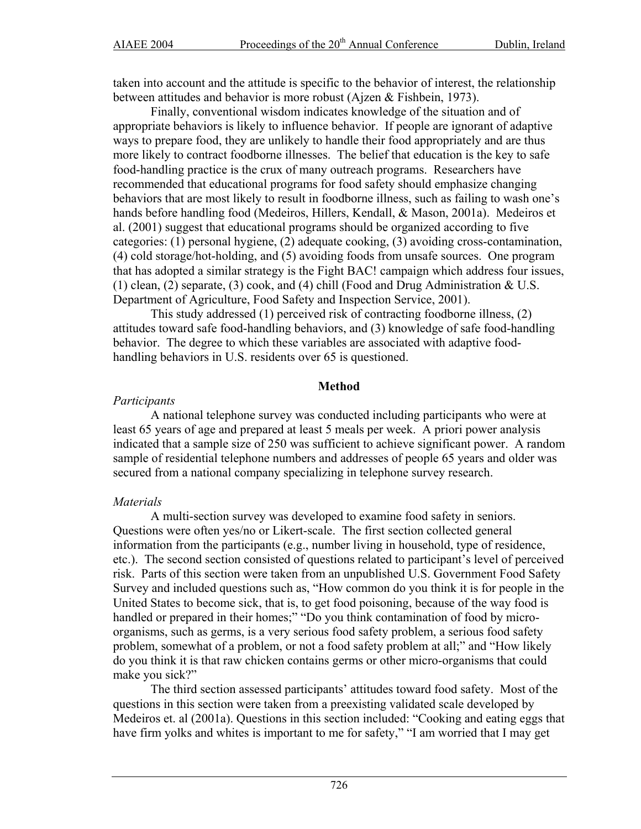taken into account and the attitude is specific to the behavior of interest, the relationship between attitudes and behavior is more robust (Ajzen & Fishbein, 1973).

Finally, conventional wisdom indicates knowledge of the situation and of appropriate behaviors is likely to influence behavior. If people are ignorant of adaptive ways to prepare food, they are unlikely to handle their food appropriately and are thus more likely to contract foodborne illnesses. The belief that education is the key to safe food-handling practice is the crux of many outreach programs. Researchers have recommended that educational programs for food safety should emphasize changing behaviors that are most likely to result in foodborne illness, such as failing to wash one's hands before handling food (Medeiros, Hillers, Kendall, & Mason, 2001a). Medeiros et al. (2001) suggest that educational programs should be organized according to five categories: (1) personal hygiene, (2) adequate cooking, (3) avoiding cross-contamination, (4) cold storage/hot-holding, and (5) avoiding foods from unsafe sources. One program that has adopted a similar strategy is the Fight BAC! campaign which address four issues, (1) clean, (2) separate, (3) cook, and (4) chill (Food and Drug Administration & U.S. Department of Agriculture, Food Safety and Inspection Service, 2001).

This study addressed (1) perceived risk of contracting foodborne illness, (2) attitudes toward safe food-handling behaviors, and (3) knowledge of safe food-handling behavior. The degree to which these variables are associated with adaptive foodhandling behaviors in U.S. residents over 65 is questioned.

#### **Method**

#### *Participants*

A national telephone survey was conducted including participants who were at least 65 years of age and prepared at least 5 meals per week. A priori power analysis indicated that a sample size of 250 was sufficient to achieve significant power. A random sample of residential telephone numbers and addresses of people 65 years and older was secured from a national company specializing in telephone survey research.

# *Materials*

A multi-section survey was developed to examine food safety in seniors. Questions were often yes/no or Likert-scale. The first section collected general information from the participants (e.g., number living in household, type of residence, etc.). The second section consisted of questions related to participant's level of perceived risk. Parts of this section were taken from an unpublished U.S. Government Food Safety Survey and included questions such as, "How common do you think it is for people in the United States to become sick, that is, to get food poisoning, because of the way food is handled or prepared in their homes;" "Do you think contamination of food by microorganisms, such as germs, is a very serious food safety problem, a serious food safety problem, somewhat of a problem, or not a food safety problem at all;" and "How likely do you think it is that raw chicken contains germs or other micro-organisms that could make you sick?"

The third section assessed participants' attitudes toward food safety. Most of the questions in this section were taken from a preexisting validated scale developed by Medeiros et. al (2001a). Questions in this section included: "Cooking and eating eggs that have firm yolks and whites is important to me for safety," "I am worried that I may get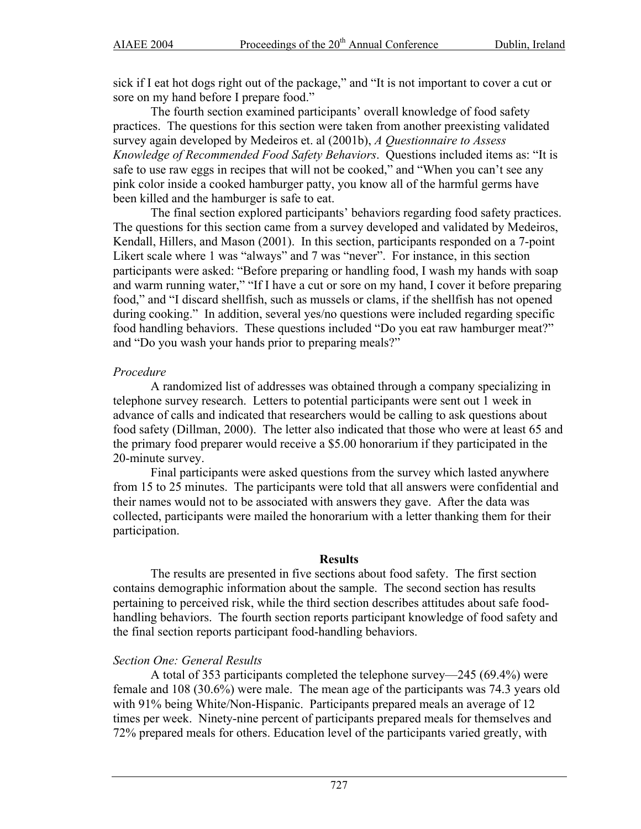sick if I eat hot dogs right out of the package," and "It is not important to cover a cut or sore on my hand before I prepare food."

The fourth section examined participants' overall knowledge of food safety practices. The questions for this section were taken from another preexisting validated survey again developed by Medeiros et. al (2001b), *A Questionnaire to Assess Knowledge of Recommended Food Safety Behaviors*. Questions included items as: "It is safe to use raw eggs in recipes that will not be cooked," and "When you can't see any pink color inside a cooked hamburger patty, you know all of the harmful germs have been killed and the hamburger is safe to eat.

The final section explored participants' behaviors regarding food safety practices. The questions for this section came from a survey developed and validated by Medeiros, Kendall, Hillers, and Mason (2001). In this section, participants responded on a 7-point Likert scale where 1 was "always" and 7 was "never". For instance, in this section participants were asked: "Before preparing or handling food, I wash my hands with soap and warm running water," "If I have a cut or sore on my hand, I cover it before preparing food," and "I discard shellfish, such as mussels or clams, if the shellfish has not opened during cooking." In addition, several yes/no questions were included regarding specific food handling behaviors. These questions included "Do you eat raw hamburger meat?" and "Do you wash your hands prior to preparing meals?"

#### *Procedure*

A randomized list of addresses was obtained through a company specializing in telephone survey research. Letters to potential participants were sent out 1 week in advance of calls and indicated that researchers would be calling to ask questions about food safety (Dillman, 2000). The letter also indicated that those who were at least 65 and the primary food preparer would receive a \$5.00 honorarium if they participated in the 20-minute survey.

Final participants were asked questions from the survey which lasted anywhere from 15 to 25 minutes. The participants were told that all answers were confidential and their names would not to be associated with answers they gave. After the data was collected, participants were mailed the honorarium with a letter thanking them for their participation.

#### **Results**

The results are presented in five sections about food safety. The first section contains demographic information about the sample. The second section has results pertaining to perceived risk, while the third section describes attitudes about safe foodhandling behaviors. The fourth section reports participant knowledge of food safety and the final section reports participant food-handling behaviors.

#### *Section One: General Results*

A total of 353 participants completed the telephone survey—245 (69.4%) were female and 108 (30.6%) were male. The mean age of the participants was 74.3 years old with 91% being White/Non-Hispanic. Participants prepared meals an average of 12 times per week. Ninety-nine percent of participants prepared meals for themselves and 72% prepared meals for others. Education level of the participants varied greatly, with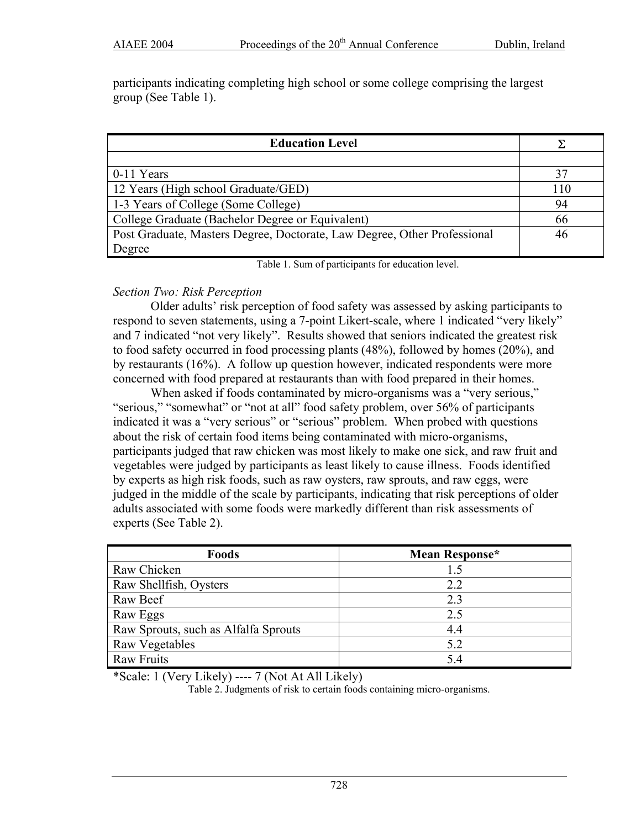participants indicating completing high school or some college comprising the largest group (See Table 1).

| <b>Education Level</b>                                                   |     |
|--------------------------------------------------------------------------|-----|
|                                                                          |     |
| 0-11 Years                                                               | 37  |
| 12 Years (High school Graduate/GED)                                      | 110 |
| 1-3 Years of College (Some College)                                      | 94  |
| College Graduate (Bachelor Degree or Equivalent)                         | 66  |
| Post Graduate, Masters Degree, Doctorate, Law Degree, Other Professional | 46  |
| Degree                                                                   |     |

Table 1. Sum of participants for education level.

# *Section Two: Risk Perception*

Older adults' risk perception of food safety was assessed by asking participants to respond to seven statements, using a 7-point Likert-scale, where 1 indicated "very likely" and 7 indicated "not very likely". Results showed that seniors indicated the greatest risk to food safety occurred in food processing plants (48%), followed by homes (20%), and by restaurants (16%). A follow up question however, indicated respondents were more concerned with food prepared at restaurants than with food prepared in their homes.

When asked if foods contaminated by micro-organisms was a "very serious," "serious," "somewhat" or "not at all" food safety problem, over 56% of participants indicated it was a "very serious" or "serious" problem. When probed with questions about the risk of certain food items being contaminated with micro-organisms, participants judged that raw chicken was most likely to make one sick, and raw fruit and vegetables were judged by participants as least likely to cause illness. Foods identified by experts as high risk foods, such as raw oysters, raw sprouts, and raw eggs, were judged in the middle of the scale by participants, indicating that risk perceptions of older adults associated with some foods were markedly different than risk assessments of experts (See Table 2).

| Foods                                | Mean Response* |
|--------------------------------------|----------------|
| Raw Chicken                          | 1.5            |
| Raw Shellfish, Oysters               | 2.2            |
| Raw Beef                             | 2.3            |
| Raw Eggs                             | 2.5            |
| Raw Sprouts, such as Alfalfa Sprouts | 4.4            |
| Raw Vegetables                       | 5.2            |
| <b>Raw Fruits</b>                    | 54             |

\*Scale: 1 (Very Likely) ---- 7 (Not At All Likely)

Table 2. Judgments of risk to certain foods containing micro-organisms.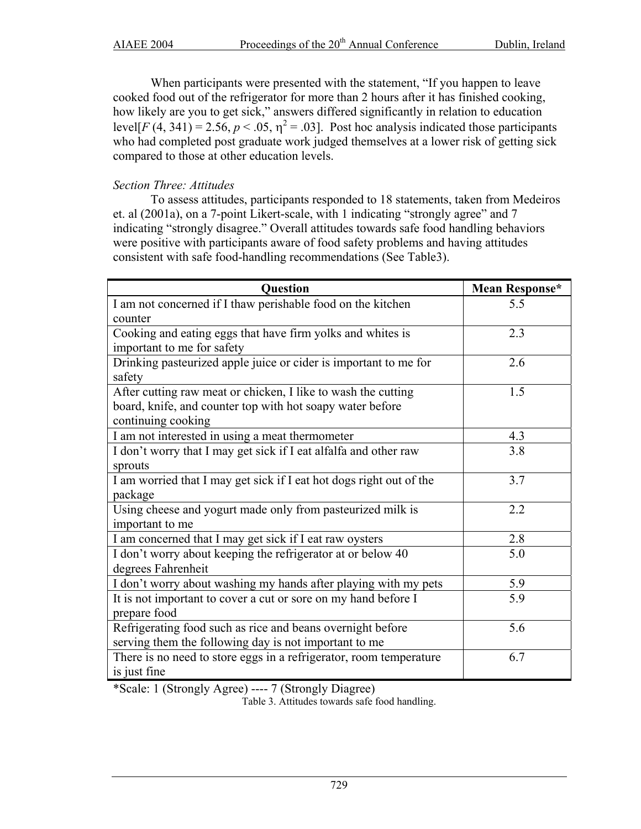When participants were presented with the statement, "If you happen to leave cooked food out of the refrigerator for more than 2 hours after it has finished cooking, how likely are you to get sick," answers differed significantly in relation to education level[ $F(4, 341) = 2.56$ ,  $p < .05$ ,  $\eta^2 = .03$ ]. Post hoc analysis indicated those participants who had completed post graduate work judged themselves at a lower risk of getting sick compared to those at other education levels.

# *Section Three: Attitudes*

To assess attitudes, participants responded to 18 statements, taken from Medeiros et. al (2001a), on a 7-point Likert-scale, with 1 indicating "strongly agree" and 7 indicating "strongly disagree." Overall attitudes towards safe food handling behaviors were positive with participants aware of food safety problems and having attitudes consistent with safe food-handling recommendations (See Table3).

| Question                                                            | Mean Response*   |
|---------------------------------------------------------------------|------------------|
| I am not concerned if I thaw perishable food on the kitchen         | 5.5              |
| counter                                                             |                  |
| Cooking and eating eggs that have firm yolks and whites is          | 2.3              |
| important to me for safety                                          |                  |
| Drinking pasteurized apple juice or cider is important to me for    | 2.6              |
| safety                                                              |                  |
| After cutting raw meat or chicken, I like to wash the cutting       | 1.5              |
| board, knife, and counter top with hot soapy water before           |                  |
| continuing cooking                                                  |                  |
| I am not interested in using a meat thermometer                     | 4.3              |
| I don't worry that I may get sick if I eat alfalfa and other raw    | 3.8              |
| sprouts                                                             |                  |
| I am worried that I may get sick if I eat hot dogs right out of the | 3.7              |
| package                                                             |                  |
| Using cheese and yogurt made only from pasteurized milk is          | 2.2              |
| important to me                                                     |                  |
| I am concerned that I may get sick if I eat raw oysters             | 2.8              |
| I don't worry about keeping the refrigerator at or below 40         | 5.0              |
| degrees Fahrenheit                                                  |                  |
| I don't worry about washing my hands after playing with my pets     | 5.9              |
| It is not important to cover a cut or sore on my hand before I      | $\overline{5.9}$ |
| prepare food                                                        |                  |
| Refrigerating food such as rice and beans overnight before          | 5.6              |
| serving them the following day is not important to me               |                  |
| There is no need to store eggs in a refrigerator, room temperature  | 6.7              |
| is just fine                                                        |                  |

\*Scale: 1 (Strongly Agree) ---- 7 (Strongly Diagree)

Table 3. Attitudes towards safe food handling.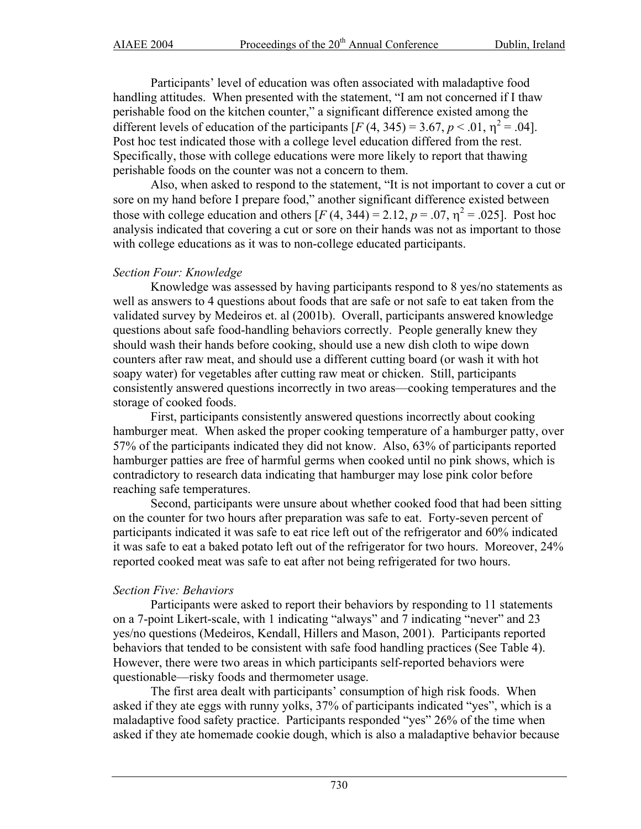Participants' level of education was often associated with maladaptive food handling attitudes. When presented with the statement, "I am not concerned if I thaw perishable food on the kitchen counter," a significant difference existed among the different levels of education of the participants  $[F(4, 345) = 3.67, p < .01, \eta^2 = .04]$ . Post hoc test indicated those with a college level education differed from the rest. Specifically, those with college educations were more likely to report that thawing perishable foods on the counter was not a concern to them.

Also, when asked to respond to the statement, "It is not important to cover a cut or sore on my hand before I prepare food," another significant difference existed between those with college education and others  $[F(4, 344) = 2.12, p = .07, \eta^2 = .025]$ . Post hoc analysis indicated that covering a cut or sore on their hands was not as important to those with college educations as it was to non-college educated participants.

### *Section Four: Knowledge*

Knowledge was assessed by having participants respond to 8 yes/no statements as well as answers to 4 questions about foods that are safe or not safe to eat taken from the validated survey by Medeiros et. al (2001b). Overall, participants answered knowledge questions about safe food-handling behaviors correctly. People generally knew they should wash their hands before cooking, should use a new dish cloth to wipe down counters after raw meat, and should use a different cutting board (or wash it with hot soapy water) for vegetables after cutting raw meat or chicken. Still, participants consistently answered questions incorrectly in two areas—cooking temperatures and the storage of cooked foods.

First, participants consistently answered questions incorrectly about cooking hamburger meat. When asked the proper cooking temperature of a hamburger patty, over 57% of the participants indicated they did not know. Also, 63% of participants reported hamburger patties are free of harmful germs when cooked until no pink shows, which is contradictory to research data indicating that hamburger may lose pink color before reaching safe temperatures.

Second, participants were unsure about whether cooked food that had been sitting on the counter for two hours after preparation was safe to eat. Forty-seven percent of participants indicated it was safe to eat rice left out of the refrigerator and 60% indicated it was safe to eat a baked potato left out of the refrigerator for two hours. Moreover, 24% reported cooked meat was safe to eat after not being refrigerated for two hours.

# *Section Five: Behaviors*

Participants were asked to report their behaviors by responding to 11 statements on a 7-point Likert-scale, with 1 indicating "always" and 7 indicating "never" and 23 yes/no questions (Medeiros, Kendall, Hillers and Mason, 2001). Participants reported behaviors that tended to be consistent with safe food handling practices (See Table 4). However, there were two areas in which participants self-reported behaviors were questionable—risky foods and thermometer usage.

The first area dealt with participants' consumption of high risk foods. When asked if they ate eggs with runny yolks, 37% of participants indicated "yes", which is a maladaptive food safety practice. Participants responded "yes" 26% of the time when asked if they ate homemade cookie dough, which is also a maladaptive behavior because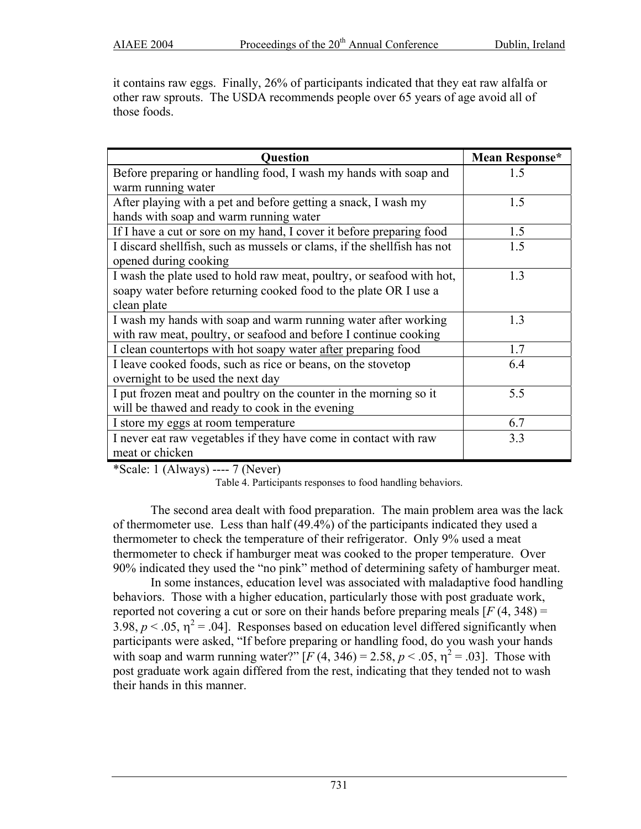it contains raw eggs. Finally, 26% of participants indicated that they eat raw alfalfa or other raw sprouts. The USDA recommends people over 65 years of age avoid all of those foods.

| <b>Question</b>                                                           | Mean Response* |
|---------------------------------------------------------------------------|----------------|
| Before preparing or handling food, I wash my hands with soap and          | 1.5            |
| warm running water                                                        |                |
| After playing with a pet and before getting a snack, I wash my            | 1.5            |
| hands with soap and warm running water                                    |                |
| If I have a cut or sore on my hand, I cover it before preparing food      | 1.5            |
| I discard shell fish, such as mussels or clams, if the shell fish has not | 1.5            |
| opened during cooking                                                     |                |
| I wash the plate used to hold raw meat, poultry, or seafood with hot,     | 1.3            |
| soapy water before returning cooked food to the plate OR I use a          |                |
| clean plate                                                               |                |
| I wash my hands with soap and warm running water after working            | 1.3            |
| with raw meat, poultry, or seafood and before I continue cooking          |                |
| I clean countertops with hot soapy water after preparing food             | 1.7            |
| I leave cooked foods, such as rice or beans, on the stovetop              | 6.4            |
| overnight to be used the next day                                         |                |
| I put frozen meat and poultry on the counter in the morning so it         | 5.5            |
| will be thawed and ready to cook in the evening                           |                |
| I store my eggs at room temperature                                       | 6.7            |
| I never eat raw vegetables if they have come in contact with raw          | 3.3            |
| meat or chicken                                                           |                |

\*Scale: 1 (Always) ---- 7 (Never)

Table 4. Participants responses to food handling behaviors.

The second area dealt with food preparation. The main problem area was the lack of thermometer use. Less than half (49.4%) of the participants indicated they used a thermometer to check the temperature of their refrigerator. Only 9% used a meat thermometer to check if hamburger meat was cooked to the proper temperature. Over 90% indicated they used the "no pink" method of determining safety of hamburger meat.

In some instances, education level was associated with maladaptive food handling behaviors. Those with a higher education, particularly those with post graduate work, reported not covering a cut or sore on their hands before preparing meals  $[F(4, 348) =$ 3.98,  $p < 0.05$ ,  $\eta^2 = 0.04$ ]. Responses based on education level differed significantly when participants were asked, "If before preparing or handling food, do you wash your hands with soap and warm running water?"  $[F(4, 346) = 2.58, p < .05, \eta^2 = .03]$ . Those with post graduate work again differed from the rest, indicating that they tended not to wash their hands in this manner.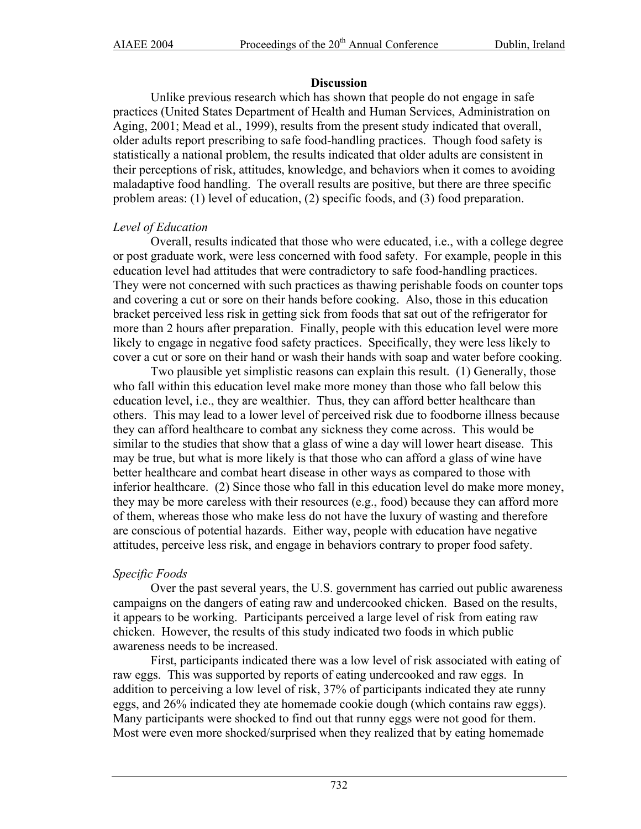#### **Discussion**

Unlike previous research which has shown that people do not engage in safe practices (United States Department of Health and Human Services, Administration on Aging, 2001; Mead et al., 1999), results from the present study indicated that overall, older adults report prescribing to safe food-handling practices. Though food safety is statistically a national problem, the results indicated that older adults are consistent in their perceptions of risk, attitudes, knowledge, and behaviors when it comes to avoiding maladaptive food handling. The overall results are positive, but there are three specific problem areas: (1) level of education, (2) specific foods, and (3) food preparation.

#### *Level of Education*

Overall, results indicated that those who were educated, i.e., with a college degree or post graduate work, were less concerned with food safety. For example, people in this education level had attitudes that were contradictory to safe food-handling practices. They were not concerned with such practices as thawing perishable foods on counter tops and covering a cut or sore on their hands before cooking. Also, those in this education bracket perceived less risk in getting sick from foods that sat out of the refrigerator for more than 2 hours after preparation. Finally, people with this education level were more likely to engage in negative food safety practices. Specifically, they were less likely to cover a cut or sore on their hand or wash their hands with soap and water before cooking.

Two plausible yet simplistic reasons can explain this result. (1) Generally, those who fall within this education level make more money than those who fall below this education level, i.e., they are wealthier. Thus, they can afford better healthcare than others. This may lead to a lower level of perceived risk due to foodborne illness because they can afford healthcare to combat any sickness they come across. This would be similar to the studies that show that a glass of wine a day will lower heart disease. This may be true, but what is more likely is that those who can afford a glass of wine have better healthcare and combat heart disease in other ways as compared to those with inferior healthcare. (2) Since those who fall in this education level do make more money, they may be more careless with their resources (e.g., food) because they can afford more of them, whereas those who make less do not have the luxury of wasting and therefore are conscious of potential hazards. Either way, people with education have negative attitudes, perceive less risk, and engage in behaviors contrary to proper food safety.

#### *Specific Foods*

Over the past several years, the U.S. government has carried out public awareness campaigns on the dangers of eating raw and undercooked chicken. Based on the results, it appears to be working. Participants perceived a large level of risk from eating raw chicken. However, the results of this study indicated two foods in which public awareness needs to be increased.

First, participants indicated there was a low level of risk associated with eating of raw eggs. This was supported by reports of eating undercooked and raw eggs. In addition to perceiving a low level of risk, 37% of participants indicated they ate runny eggs, and 26% indicated they ate homemade cookie dough (which contains raw eggs). Many participants were shocked to find out that runny eggs were not good for them. Most were even more shocked/surprised when they realized that by eating homemade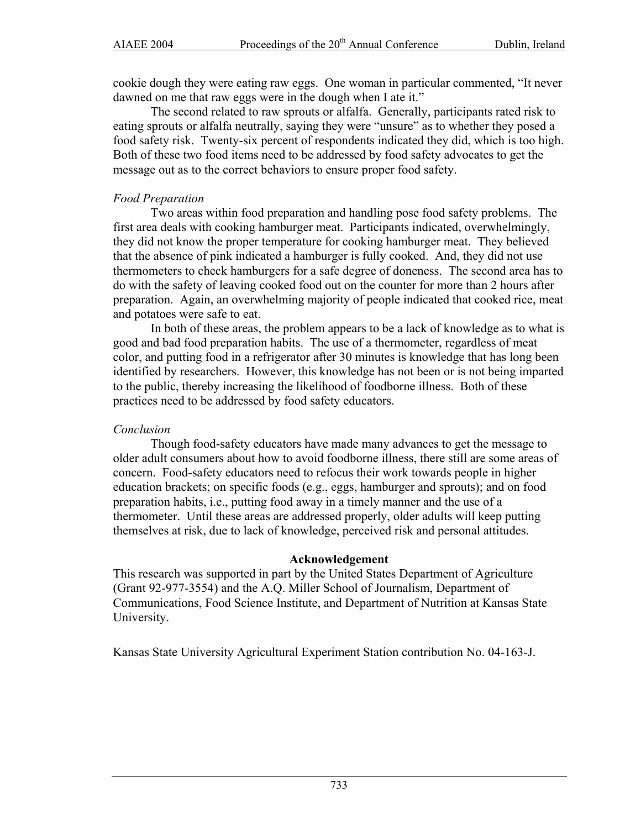cookie dough they were eating raw eggs. One woman in particular commented, "It never dawned on me that raw eggs were in the dough when I ate it."

The second related to raw sprouts or alfalfa. Generally, participants rated risk to eating sprouts or alfalfa neutrally, saying they were "unsure" as to whether they posed a food safety risk. Twenty-six percent of respondents indicated they did, which is too high. Both of these two food items need to be addressed by food safety advocates to get the message out as to the correct behaviors to ensure proper food safety.

### *Food Preparation*

Two areas within food preparation and handling pose food safety problems. The first area deals with cooking hamburger meat. Participants indicated, overwhelmingly, they did not know the proper temperature for cooking hamburger meat. They believed that the absence of pink indicated a hamburger is fully cooked. And, they did not use thermometers to check hamburgers for a safe degree of doneness. The second area has to do with the safety of leaving cooked food out on the counter for more than 2 hours after preparation. Again, an overwhelming majority of people indicated that cooked rice, meat and potatoes were safe to eat.

In both of these areas, the problem appears to be a lack of knowledge as to what is good and bad food preparation habits. The use of a thermometer, regardless of meat color, and putting food in a refrigerator after 30 minutes is knowledge that has long been identified by researchers. However, this knowledge has not been or is not being imparted to the public, thereby increasing the likelihood of foodborne illness. Both of these practices need to be addressed by food safety educators.

#### *Conclusion*

Though food-safety educators have made many advances to get the message to older adult consumers about how to avoid foodborne illness, there still are some areas of concern. Food-safety educators need to refocus their work towards people in higher education brackets; on specific foods (e.g., eggs, hamburger and sprouts); and on food preparation habits, i.e., putting food away in a timely manner and the use of a thermometer. Until these areas are addressed properly, older adults will keep putting themselves at risk, due to lack of knowledge, perceived risk and personal attitudes.

#### **Acknowledgement**

This research was supported in part by the United States Department of Agriculture (Grant 92-977-3554) and the A.Q. Miller School of Journalism, Department of Communications, Food Science Institute, and Department of Nutrition at Kansas State University.

Kansas State University Agricultural Experiment Station contribution No. 04-163-J.